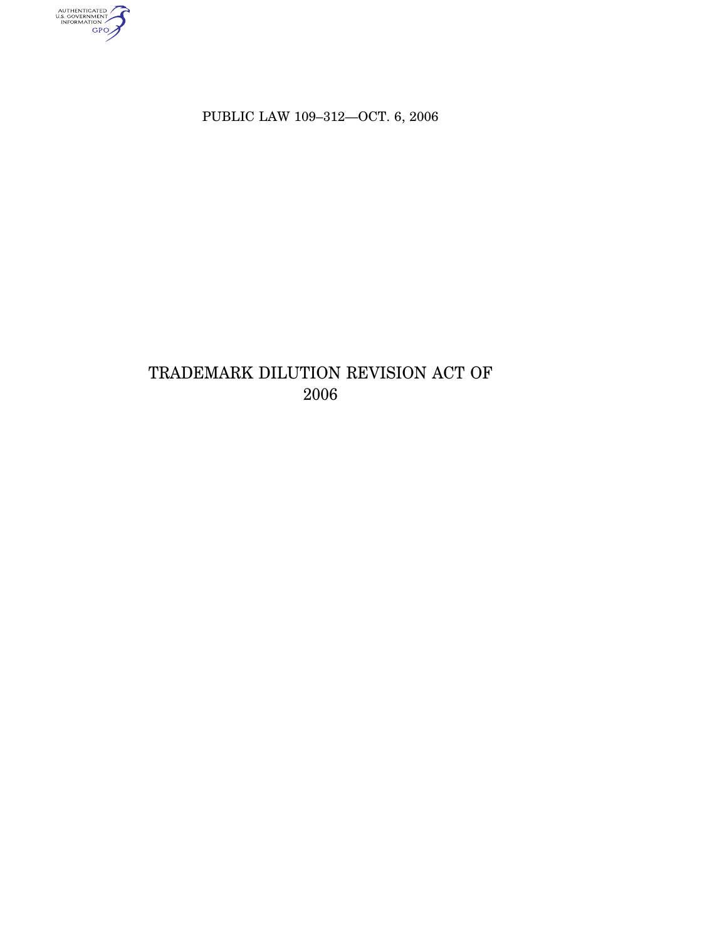authenticated<br>u.s. government<br>information<br>GPO

PUBLIC LAW 109–312—OCT. 6, 2006

# TRADEMARK DILUTION REVISION ACT OF 2006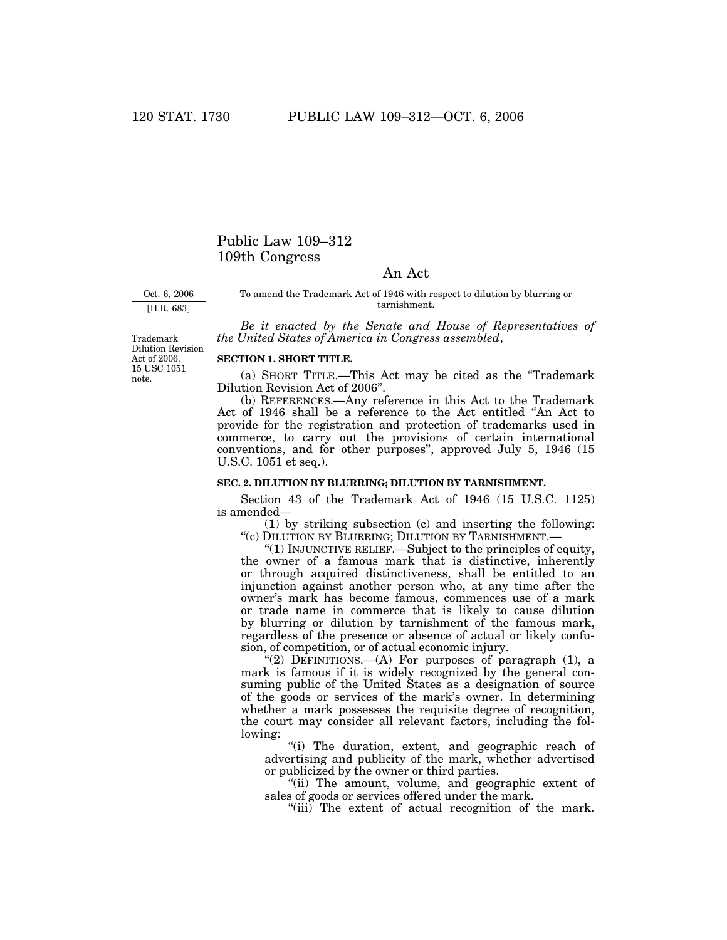# Public Law 109–312 109th Congress

## An Act

Oct. 6, 2006 [H.R. 683]

To amend the Trademark Act of 1946 with respect to dilution by blurring or tarnishment.

*Be it enacted by the Senate and House of Representatives of the United States of America in Congress assembled*,

Trademark Dilution Revision Act of 2006. 15 USC 1051 note.

### **SECTION 1. SHORT TITLE.**

(a) SHORT TITLE.—This Act may be cited as the ''Trademark Dilution Revision Act of 2006''.

(b) REFERENCES.—Any reference in this Act to the Trademark Act of 1946 shall be a reference to the Act entitled ''An Act to provide for the registration and protection of trademarks used in commerce, to carry out the provisions of certain international conventions, and for other purposes'', approved July 5, 1946 (15 U.S.C. 1051 et seq.).

#### **SEC. 2. DILUTION BY BLURRING; DILUTION BY TARNISHMENT.**

Section 43 of the Trademark Act of 1946 (15 U.S.C. 1125) is amended—

(1) by striking subsection (c) and inserting the following: "(c) DILUTION BY BLURRING; DILUTION BY TARNISHMENT.-

''(1) INJUNCTIVE RELIEF.—Subject to the principles of equity, the owner of a famous mark that is distinctive, inherently or through acquired distinctiveness, shall be entitled to an injunction against another person who, at any time after the owner's mark has become famous, commences use of a mark or trade name in commerce that is likely to cause dilution by blurring or dilution by tarnishment of the famous mark, regardless of the presence or absence of actual or likely confusion, of competition, or of actual economic injury.

"(2) DEFINITIONS.— $(A)$  For purposes of paragraph  $(1)$ , a mark is famous if it is widely recognized by the general consuming public of the United States as a designation of source of the goods or services of the mark's owner. In determining whether a mark possesses the requisite degree of recognition, the court may consider all relevant factors, including the following:

"(i) The duration, extent, and geographic reach of advertising and publicity of the mark, whether advertised or publicized by the owner or third parties.

"(ii) The amount, volume, and geographic extent of sales of goods or services offered under the mark.

"(iii) The extent of actual recognition of the mark.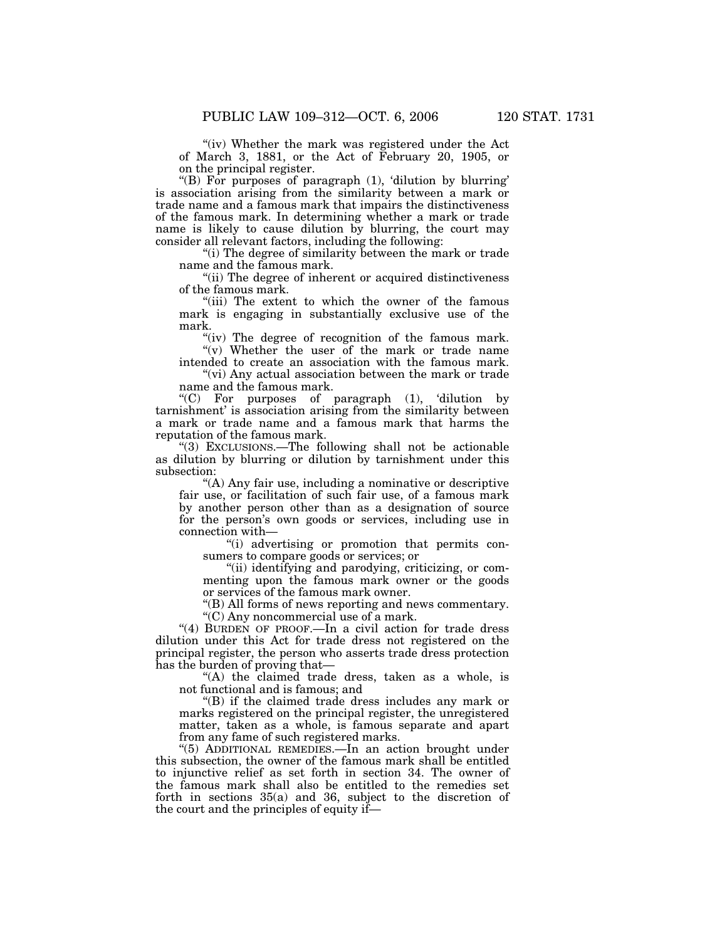"(iv) Whether the mark was registered under the Act of March 3, 1881, or the Act of February 20, 1905, or on the principal register.

"(B) For purposes of paragraph (1), 'dilution by blurring' is association arising from the similarity between a mark or trade name and a famous mark that impairs the distinctiveness of the famous mark. In determining whether a mark or trade name is likely to cause dilution by blurring, the court may consider all relevant factors, including the following:

''(i) The degree of similarity between the mark or trade name and the famous mark.

"(ii) The degree of inherent or acquired distinctiveness of the famous mark.

"(iii) The extent to which the owner of the famous mark is engaging in substantially exclusive use of the mark.

"(iv) The degree of recognition of the famous mark.  $\widetilde{f(v)}$  Whether the user of the mark or trade name

intended to create an association with the famous mark. "(vi) Any actual association between the mark or trade"

name and the famous mark.  $(C)$  For purposes of paragraph  $(1)$ , dilution by tarnishment' is association arising from the similarity between

a mark or trade name and a famous mark that harms the reputation of the famous mark.

''(3) EXCLUSIONS.—The following shall not be actionable as dilution by blurring or dilution by tarnishment under this subsection:

''(A) Any fair use, including a nominative or descriptive fair use, or facilitation of such fair use, of a famous mark by another person other than as a designation of source for the person's own goods or services, including use in connection with—

''(i) advertising or promotion that permits consumers to compare goods or services; or

"(ii) identifying and parodying, criticizing, or commenting upon the famous mark owner or the goods or services of the famous mark owner.

''(B) All forms of news reporting and news commentary. ''(C) Any noncommercial use of a mark.

"(4) BURDEN OF PROOF.—In a civil action for trade dress dilution under this Act for trade dress not registered on the principal register, the person who asserts trade dress protection has the burden of proving that—

''(A) the claimed trade dress, taken as a whole, is not functional and is famous; and

''(B) if the claimed trade dress includes any mark or marks registered on the principal register, the unregistered matter, taken as a whole, is famous separate and apart from any fame of such registered marks.

''(5) ADDITIONAL REMEDIES.—In an action brought under this subsection, the owner of the famous mark shall be entitled to injunctive relief as set forth in section 34. The owner of the famous mark shall also be entitled to the remedies set forth in sections 35(a) and 36, subject to the discretion of the court and the principles of equity if—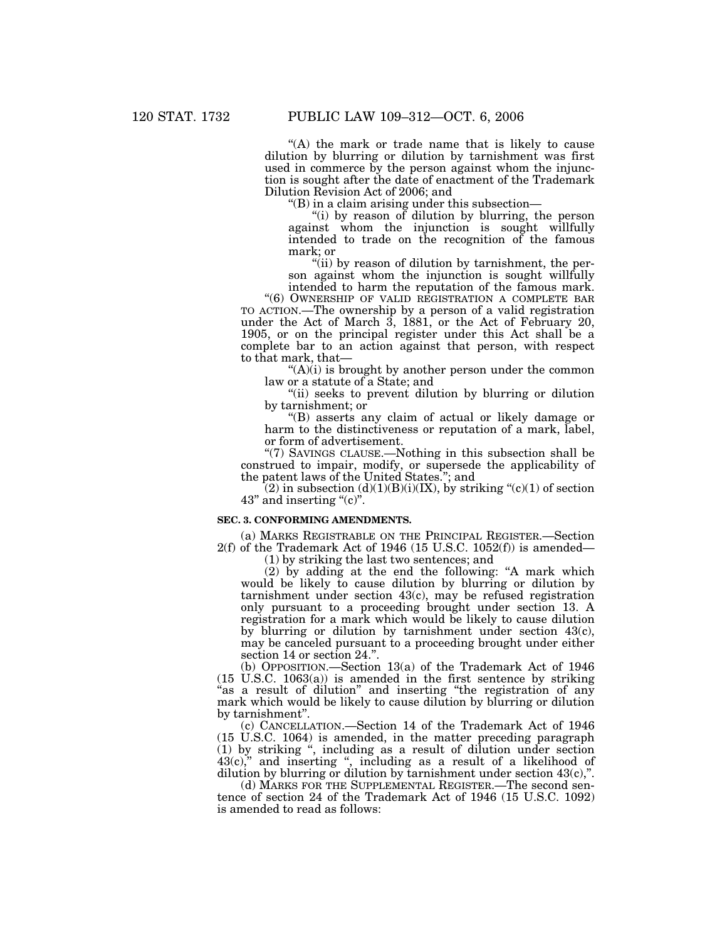"(A) the mark or trade name that is likely to cause dilution by blurring or dilution by tarnishment was first used in commerce by the person against whom the injunction is sought after the date of enactment of the Trademark Dilution Revision Act of 2006; and

 $\mathrm{H}(B)$  in a claim arising under this subsection—

''(i) by reason of dilution by blurring, the person against whom the injunction is sought willfully intended to trade on the recognition of the famous mark; or

"(ii) by reason of dilution by tarnishment, the person against whom the injunction is sought willfully intended to harm the reputation of the famous mark.

"(6) OWNERSHIP OF VALID REGISTRATION A COMPLETE BAR TO ACTION.—The ownership by a person of a valid registration under the Act of March 3, 1881, or the Act of February 20, 1905, or on the principal register under this Act shall be a complete bar to an action against that person, with respect to that mark, that—

" $(A)(i)$  is brought by another person under the common law or a statute of a State; and

"(ii) seeks to prevent dilution by blurring or dilution" by tarnishment; or

''(B) asserts any claim of actual or likely damage or harm to the distinctiveness or reputation of a mark, label, or form of advertisement.

''(7) SAVINGS CLAUSE.—Nothing in this subsection shall be construed to impair, modify, or supersede the applicability of the patent laws of the United States.''; and

 $(2)$  in subsection  $(d)(1)(B)(i)(IX)$ , by striking " $(c)(1)$  of section 43" and inserting "(c)".

#### **SEC. 3. CONFORMING AMENDMENTS.**

(a) MARKS REGISTRABLE ON THE PRINCIPAL REGISTER.—Section  $2(f)$  of the Trademark Act of 1946 (15 U.S.C. 1052 $(f)$ ) is amended–

(1) by striking the last two sentences; and

(2) by adding at the end the following: ''A mark which would be likely to cause dilution by blurring or dilution by tarnishment under section 43(c), may be refused registration only pursuant to a proceeding brought under section 13. A registration for a mark which would be likely to cause dilution by blurring or dilution by tarnishment under section 43(c), may be canceled pursuant to a proceeding brought under either section 14 or section 24.''.

(b) OPPOSITION.—Section 13(a) of the Trademark Act of 1946 (15 U.S.C. 1063(a)) is amended in the first sentence by striking "as a result of dilution" and inserting "the registration of any mark which would be likely to cause dilution by blurring or dilution by tarnishment''.

(c) CANCELLATION.—Section 14 of the Trademark Act of 1946 (15 U.S.C. 1064) is amended, in the matter preceding paragraph (1) by striking '', including as a result of dilution under section  $43(c)$ ," and inserting ", including as a result of a likelihood of dilution by blurring or dilution by tarnishment under section  $43(c)$ .".

(d) MARKS FOR THE SUPPLEMENTAL REGISTER.—The second sentence of section 24 of the Trademark Act of 1946 (15 U.S.C. 1092) is amended to read as follows: